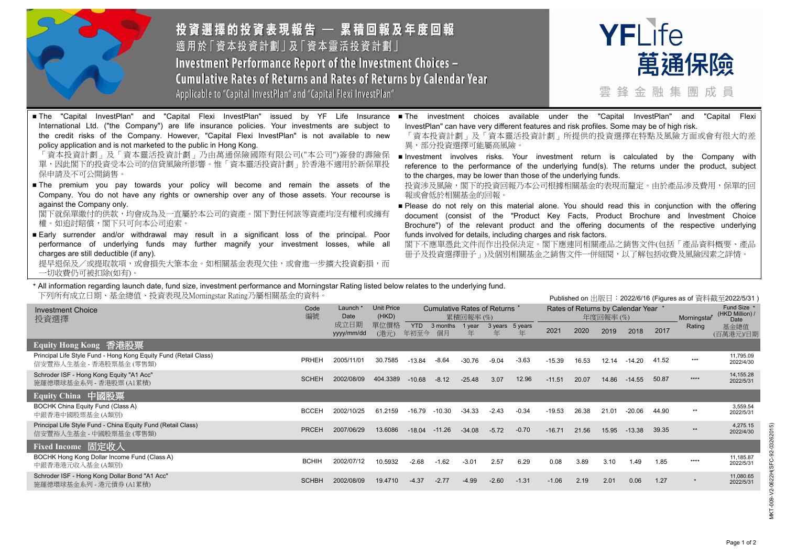

投資選擇的投資表現報告 — 累積回報及年度回報 適用於「資本投資計劃」及「資本靈活投資計劃」 **Investment Performance Report of the Investment Choices -**Cumulative Rates of Returns and Rates of Returns by Calendar Year Applicable to "Capital InvestPlan" and "Capital Flexi InvestPlan"



雲縫金融集團成員

Published on 出版日:2022/6/16 (Figures as of 資料截至2022/5/31 )

■ The "Capital InvestPlan" and "Capital Flexi InvestPlan" issued by YF Life Insurance International Ltd. ("the Company") are life insurance policies. Your investments are subject to the credit risks of the Company. However, "Capital Flexi InvestPlan" is not available to new policy application and is not marketed to the public in Hong Kong.

「資本投資計劃」及「資本靈活投資計劃」乃由萬通保險國際有限公司("本公司")簽發的壽險保 單,因此閣下的投資受本公司的信貸風險所影響。惟「資本靈活投資計劃」於香港不適用於新保單投 保申請及不可公開銷售。

■ The premium you pay towards your policy will become and remain the assets of the Company. You do not have any rights or ownership over any of those assets. Your recourse is against the Company only.

閣下就保單繳付的供款,均會成為及一直屬於本公司的資產。閣下對任何該等資產均沒有權利或擁有 權。如追討賠償,閣下只可向本公司追索。

■ Early surrender and/or withdrawal may result in a significant loss of the principal. Poor performance of underlying funds may further magnify your investment losses, while all charges are still deductible (if any).

提早退保及/或提取款項,或會損失大筆本金。如相關基金表現欠佳,或會進一步擴大投資虧損,而 一切收費仍可被扣除(如有)。

- The investment choices available under the "Capital InvestPlan" and "Capital Flexi InvestPlan" can have very different features and risk profiles. Some may be of high risk.
	- 「資本投資計劃」及「資本靈活投資計劃」所提供的投資選擇在特點及風險方面或會有很大的差 異,部分投資選擇可能屬高風險。
	- Investment involves risks. Your investment return is calculated by the Company with reference to the performance of the underlying fund(s). The returns under the product, subject to the charges, may be lower than those of the underlying funds.

投資涉及風險,閣下的投資回報乃本公司根據相關基金的表現而釐定。由於產品涉及費用,保單的回 報或會低於相關基金的回報。

■ Please do not rely on this material alone. You should read this in conjunction with the offering document (consist of the "Product Key Facts, Product Brochure and Investment Choice Brochure") of the relevant product and the offering documents of the respective underlying funds involved for details, including charges and risk factors.

閣下不應單憑此文件而作出投保決定。閣下應連同相關產品之銷售文件(包括「產品資料概要、產品 冊子及投資選擇冊子」)及個別相關基金之銷售文件一併細閱,以了解包括收費及風險因素之詳情。

## \* All information regarding launch date, fund size, investment performance and Morningstar Rating listed below relates to the underlying fund. 下列所有成立日期、基金總值、投資表現及Morningstar Rating乃屬相關基金的資料。

|                                                                                             |              |                    |                            |                                         |                |             |              |              | Published on $\oplus \mathbb{N} \square$ $\cdot$ Z0ZZ/0/10 (Figures as or $\oplus \mathbb{N} \oplus \mathbb{Z}$ Z0ZZ/3/31) |       |       |          |       |              |                                        |
|---------------------------------------------------------------------------------------------|--------------|--------------------|----------------------------|-----------------------------------------|----------------|-------------|--------------|--------------|----------------------------------------------------------------------------------------------------------------------------|-------|-------|----------|-------|--------------|----------------------------------------|
| <b>Investment Choice</b><br>投資選擇                                                            |              | Launch<br>Date     | <b>Unit Price</b><br>(HKD) | Cumulative Rates of Returns<br>累積回報率(%) |                |             |              |              | Rates of Returns by Calendar Year *<br>年度回報率(%)                                                                            |       |       |          |       | Morningstar* | Fund Size *<br>(HKD Million) /<br>Date |
|                                                                                             |              | 成立日期<br>yyyy/mm/dd | 單位價格<br>(港元)               | <b>YTD</b><br>年初至今                      | 3 months<br>個月 | 1 year<br>年 | 3 years<br>年 | 5 years<br>年 | 2021                                                                                                                       | 2020  | 2019  | 2018     | 2017  | Rating       | 基金總值<br>(百萬港元)/日期                      |
| Equity Hong Kong 香港股票                                                                       |              |                    |                            |                                         |                |             |              |              |                                                                                                                            |       |       |          |       |              |                                        |
| Principal Life Style Fund - Hong Kong Equity Fund (Retail Class)<br>信安豐裕人生基金 - 香港股票基金 (零售類) | <b>PRHEH</b> | 2005/11/01         | 30.7585                    | $-13.84$                                | $-8.64$        | $-30.76$    | -9.04        | $-3.63$      | $-15.39$                                                                                                                   | 16.53 | 12.14 | $-14.20$ | 41.52 | ***          | 11,795.09<br>2022/4/30                 |
| Schroder ISF - Hong Kong Equity "A1 Acc"<br>施羅德環球基金系列 - 香港股票(A1累積)                          | <b>SCHEH</b> | 2002/08/09         | 404.3389                   | $-10.68$                                | $-8.12$        | $-25.48$    | 3.07         | 12.96        | $-11.51$                                                                                                                   | 20.07 | 14.86 | $-14.55$ | 50.87 | ****         | 14,155.28<br>2022/5/31                 |
| Equity China 中國股票                                                                           |              |                    |                            |                                         |                |             |              |              |                                                                                                                            |       |       |          |       |              |                                        |
| BOCHK China Equity Fund (Class A)<br>中銀香港中國股票基金 (A類別)                                       | <b>BCCEH</b> | 2002/10/25         | 61.2159                    | -16.79                                  | $-10.30$       | -34.33      | $-2.43$      | $-0.34$      | $-19.53$                                                                                                                   | 26.38 | 21.01 | $-20.06$ | 44.90 | **           | 3,559.54<br>2022/5/31                  |
| Principal Life Style Fund - China Equity Fund (Retail Class)<br>信安豐裕人生基金 - 中國股票基金 (零售類)     | <b>PRCEH</b> | 2007/06/29         | 13,6086                    | $-18.04$                                | $-11.26$       | $-34.08$    | $-5.72$      | $-0.70$      | $-16.71$                                                                                                                   | 21.56 | 15.95 | -13.38   | 39.35 | $**$         | 4,275.15<br>2022/4/30                  |
| Fixed Income 固定收入                                                                           |              |                    |                            |                                         |                |             |              |              |                                                                                                                            |       |       |          |       |              |                                        |
| BOCHK Hong Kong Dollar Income Fund (Class A)<br>中銀香港港元收入基金(A類別)                             | <b>BCHIH</b> | 2002/07/12         | 10.5932                    | $-2.68$                                 | $-1.62$        | $-3.01$     | 2.57         | 6.29         | 0.08                                                                                                                       | 3.89  | 3.10  | 1.49     | 1.85  | ****         | 11,185.87<br>2022/5/31                 |
| Schroder ISF - Hong Kong Dollar Bond "A1 Acc"<br>施羅德環球基金系列 - 港元債券 (A1累積)                    | <b>SCHBH</b> | 2002/08/09         | 19.4710                    | $-4.37$                                 | $-2.77$        | $-4.99$     | $-2.60$      | $-1.31$      | $-1.06$                                                                                                                    | 2.19  | 2.01  | 0.06     | 1.27  | $\star$      | 11,080.65<br>2022/5/31                 |
|                                                                                             |              |                    |                            |                                         |                |             |              |              |                                                                                                                            |       |       |          |       |              |                                        |